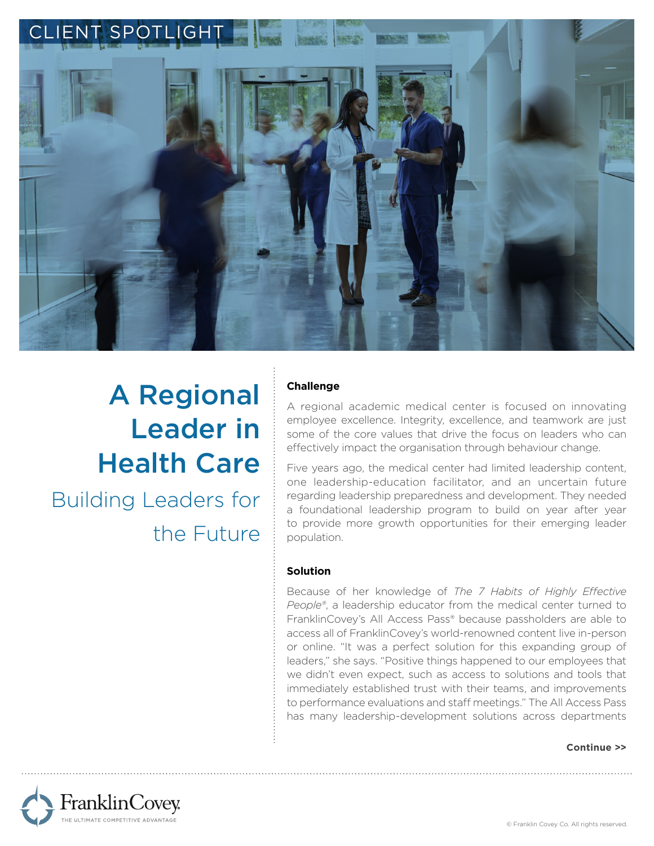

# A Regional Leader in Health Care Building Leaders for

the Future

# **Challenge**

A regional academic medical center is focused on innovating employee excellence. Integrity, excellence, and teamwork are just some of the core values that drive the focus on leaders who can effectively impact the organisation through behaviour change.

Five years ago, the medical center had limited leadership content, one leadership-education facilitator, and an uncertain future regarding leadership preparedness and development. They needed a foundational leadership program to build on year after year to provide more growth opportunities for their emerging leader population.

### **Solution**

Because of her knowledge of *The 7 Habits of Highly Effective People®*, a leadership educator from the medical center turned to FranklinCovey's All Access Pass® because passholders are able to access all of FranklinCovey's world-renowned content live in-person or online. "It was a perfect solution for this expanding group of leaders," she says. "Positive things happened to our employees that we didn't even expect, such as access to solutions and tools that immediately established trust with their teams, and improvements to performance evaluations and staff meetings." The All Access Pass has many leadership-development solutions across departments

#### **Continue >>**